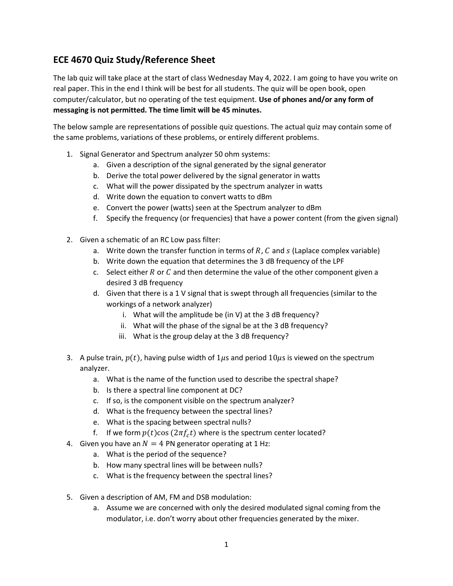## ECE 4670 Quiz Study/Reference Sheet

The lab quiz will take place at the start of class Wednesday May 4, 2022. I am going to have you write on real paper. This in the end I think will be best for all students. The quiz will be open book, open computer/calculator, but no operating of the test equipment. Use of phones and/or any form of messaging is not permitted. The time limit will be 45 minutes.

The below sample are representations of possible quiz questions. The actual quiz may contain some of the same problems, variations of these problems, or entirely different problems.

- 1. Signal Generator and Spectrum analyzer 50 ohm systems:
	- a. Given a description of the signal generated by the signal generator
	- b. Derive the total power delivered by the signal generator in watts
	- c. What will the power dissipated by the spectrum analyzer in watts
	- d. Write down the equation to convert watts to dBm
	- e. Convert the power (watts) seen at the Spectrum analyzer to dBm
	- f. Specify the frequency (or frequencies) that have a power content (from the given signal)
- 2. Given a schematic of an RC Low pass filter:
	- a. Write down the transfer function in terms of  $R$ ,  $C$  and  $S$  (Laplace complex variable)
	- b. Write down the equation that determines the 3 dB frequency of the LPF
	- c. Select either  $R$  or  $C$  and then determine the value of the other component given a desired 3 dB frequency
	- d. Given that there is a 1 V signal that is swept through all frequencies (similar to the workings of a network analyzer)
		- i. What will the amplitude be (in V) at the 3 dB frequency?
		- ii. What will the phase of the signal be at the 3 dB frequency?
		- iii. What is the group delay at the 3 dB frequency?
- 3. A pulse train,  $p(t)$ , having pulse width of  $1\mu s$  and period  $10\mu s$  is viewed on the spectrum analyzer.
	- a. What is the name of the function used to describe the spectral shape?
	- b. Is there a spectral line component at DC?
	- c. If so, is the component visible on the spectrum analyzer?
	- d. What is the frequency between the spectral lines?
	- e. What is the spacing between spectral nulls?
	- f. If we form  $p(t)\cos(2\pi f_c t)$  where is the spectrum center located?
- 4. Given you have an  $N = 4$  PN generator operating at 1 Hz:
	- a. What is the period of the sequence?
	- b. How many spectral lines will be between nulls?
	- c. What is the frequency between the spectral lines?
- 5. Given a description of AM, FM and DSB modulation:
	- a. Assume we are concerned with only the desired modulated signal coming from the modulator, i.e. don't worry about other frequencies generated by the mixer.